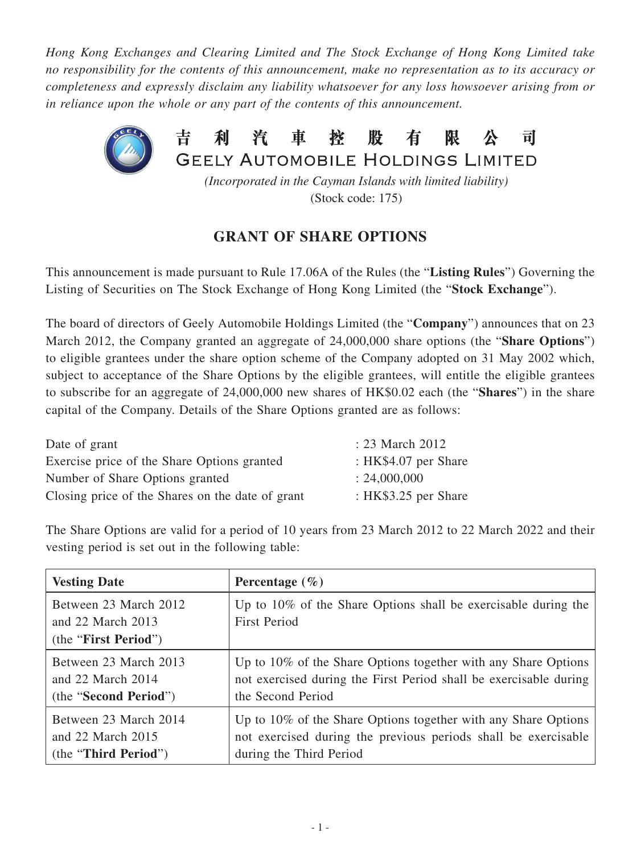*Hong Kong Exchanges and Clearing Limited and The Stock Exchange of Hong Kong Limited take no responsibility for the contents of this announcement, make no representation as to its accuracy or completeness and expressly disclaim any liability whatsoever for any loss howsoever arising from or in reliance upon the whole or any part of the contents of this announcement.*



(Stock code: 175)

## **GRANT OF SHARE OPTIONS**

This announcement is made pursuant to Rule 17.06A of the Rules (the "**Listing Rules**") Governing the Listing of Securities on The Stock Exchange of Hong Kong Limited (the "**Stock Exchange**").

The board of directors of Geely Automobile Holdings Limited (the "**Company**") announces that on 23 March 2012, the Company granted an aggregate of 24,000,000 share options (the "**Share Options**") to eligible grantees under the share option scheme of the Company adopted on 31 May 2002 which, subject to acceptance of the Share Options by the eligible grantees, will entitle the eligible grantees to subscribe for an aggregate of 24,000,000 new shares of HK\$0.02 each (the "**Shares**") in the share capital of the Company. Details of the Share Options granted are as follows:

| Date of grant                                    | : 23 March 2012        |
|--------------------------------------------------|------------------------|
| Exercise price of the Share Options granted      | : HK\$4.07 per Share   |
| Number of Share Options granted                  | : 24,000,000           |
| Closing price of the Shares on the date of grant | : HK $$3.25$ per Share |

The Share Options are valid for a period of 10 years from 23 March 2012 to 22 March 2022 and their vesting period is set out in the following table:

| <b>Vesting Date</b>                                                    | Percentage $(\% )$                                                                       |
|------------------------------------------------------------------------|------------------------------------------------------------------------------------------|
| Between 23 March 2012<br>and $22$ March $2013$<br>(the "First Period") | Up to $10\%$ of the Share Options shall be exercisable during the<br><b>First Period</b> |
| Between 23 March 2013                                                  | Up to 10% of the Share Options together with any Share Options                           |
| and $22$ March $2014$                                                  | not exercised during the First Period shall be exercisable during                        |
| (the "Second Period")                                                  | the Second Period                                                                        |
| Between 23 March 2014                                                  | Up to 10% of the Share Options together with any Share Options                           |
| and 22 March 2015                                                      | not exercised during the previous periods shall be exercisable                           |
| (the "Third Period")                                                   | during the Third Period                                                                  |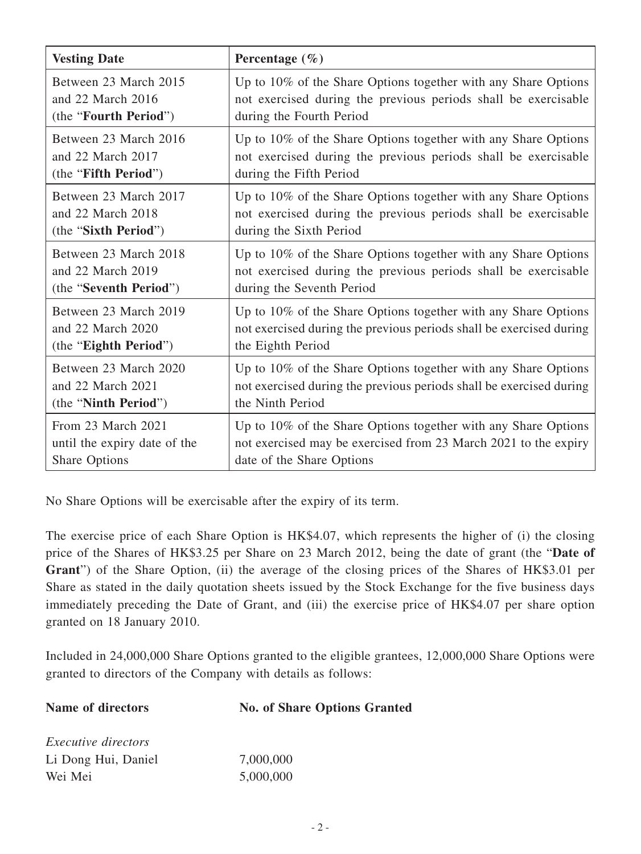| <b>Vesting Date</b>          | Percentage $(\% )$                                                  |
|------------------------------|---------------------------------------------------------------------|
| Between 23 March 2015        | Up to 10% of the Share Options together with any Share Options      |
| and 22 March 2016            | not exercised during the previous periods shall be exercisable      |
| (the "Fourth Period")        | during the Fourth Period                                            |
| Between 23 March 2016        | Up to 10% of the Share Options together with any Share Options      |
| and 22 March 2017            | not exercised during the previous periods shall be exercisable      |
| (the "Fifth Period")         | during the Fifth Period                                             |
| Between 23 March 2017        | Up to 10% of the Share Options together with any Share Options      |
| and 22 March 2018            | not exercised during the previous periods shall be exercisable      |
| (the "Sixth Period")         | during the Sixth Period                                             |
| Between 23 March 2018        | Up to 10% of the Share Options together with any Share Options      |
| and 22 March 2019            | not exercised during the previous periods shall be exercisable      |
| (the "Seventh Period")       | during the Seventh Period                                           |
| Between 23 March 2019        | Up to 10% of the Share Options together with any Share Options      |
| and 22 March 2020            | not exercised during the previous periods shall be exercised during |
| (the "Eighth Period")        | the Eighth Period                                                   |
| Between 23 March 2020        | Up to 10% of the Share Options together with any Share Options      |
| and 22 March 2021            | not exercised during the previous periods shall be exercised during |
| (the "Ninth Period")         | the Ninth Period                                                    |
| From 23 March 2021           | Up to 10% of the Share Options together with any Share Options      |
| until the expiry date of the | not exercised may be exercised from 23 March 2021 to the expiry     |
| <b>Share Options</b>         | date of the Share Options                                           |

No Share Options will be exercisable after the expiry of its term.

The exercise price of each Share Option is HK\$4.07, which represents the higher of (i) the closing price of the Shares of HK\$3.25 per Share on 23 March 2012, being the date of grant (the "**Date of Grant**") of the Share Option, (ii) the average of the closing prices of the Shares of HK\$3.01 per Share as stated in the daily quotation sheets issued by the Stock Exchange for the five business days immediately preceding the Date of Grant, and (iii) the exercise price of HK\$4.07 per share option granted on 18 January 2010.

Included in 24,000,000 Share Options granted to the eligible grantees, 12,000,000 Share Options were granted to directors of the Company with details as follows:

| Name of directors          | <b>No. of Share Options Granted</b> |
|----------------------------|-------------------------------------|
| <i>Executive directors</i> |                                     |
| Li Dong Hui, Daniel        | 7,000,000                           |
| Wei Mei                    | 5,000,000                           |